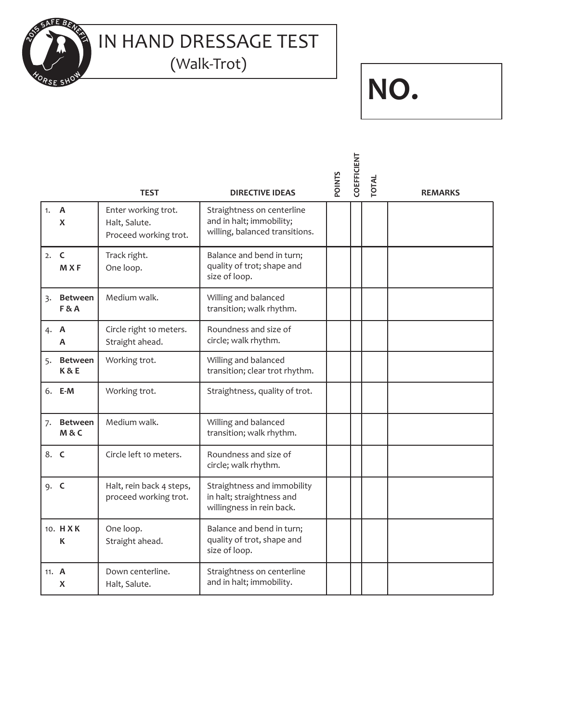

IN HAND DRESSAGE TEST (Walk-Trot)

## **NO.**

|         |                                  | <b>TEST</b>                                                      | <b>DIRECTIVE IDEAS</b>                                                                   | <b>POINTS</b> | COEFFICIENT | <b>TOTAL</b> | <b>REMARKS</b> |  |  |  |
|---------|----------------------------------|------------------------------------------------------------------|------------------------------------------------------------------------------------------|---------------|-------------|--------------|----------------|--|--|--|
| 1.      | $\overline{A}$<br>X              | Enter working trot.<br>Halt, Salute.<br>Proceed working trot.    | Straightness on centerline<br>and in halt; immobility;<br>willing, balanced transitions. |               |             |              |                |  |  |  |
| 2. C    | <b>MXF</b>                       | Track right.<br>One loop.                                        | Balance and bend in turn;<br>quality of trot; shape and<br>size of loop.                 |               |             |              |                |  |  |  |
|         | 3. Between<br><b>F&amp;A</b>     | Medium walk.<br>Willing and balanced<br>transition; walk rhythm. |                                                                                          |               |             |              |                |  |  |  |
| 4. A    | А                                | Circle right 10 meters.<br>Straight ahead.                       | Roundness and size of<br>circle; walk rhythm.                                            |               |             |              |                |  |  |  |
| 5.      | <b>Between</b><br><b>K&amp;E</b> | Working trot.                                                    | Willing and balanced<br>transition; clear trot rhythm.                                   |               |             |              |                |  |  |  |
|         | 6. E-M                           | Working trot.                                                    | Straightness, quality of trot.                                                           |               |             |              |                |  |  |  |
| 7.      | <b>Between</b><br>M&C            | Medium walk.                                                     | Willing and balanced<br>transition; walk rhythm.                                         |               |             |              |                |  |  |  |
| 8. C    |                                  | Circle left 10 meters.                                           | Roundness and size of<br>circle; walk rhythm.                                            |               |             |              |                |  |  |  |
| 9. C    |                                  | Halt, rein back 4 steps,<br>proceed working trot.                | Straightness and immobility<br>in halt; straightness and<br>willingness in rein back.    |               |             |              |                |  |  |  |
|         | 10. HXK<br>К                     | One loop.<br>Straight ahead.                                     | Balance and bend in turn;<br>quality of trot, shape and<br>size of loop.                 |               |             |              |                |  |  |  |
| 11. $A$ | X                                | Down centerline.<br>Halt, Salute.                                | Straightness on centerline<br>and in halt; immobility.                                   |               |             |              |                |  |  |  |